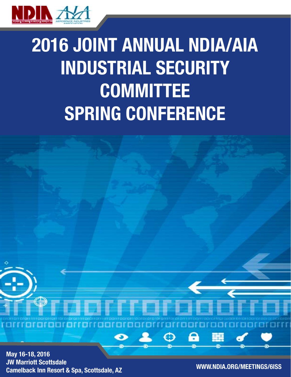

# 2016 JOINT ANNUAL NDIA/AIA INDUSTRIAL SECURITY COMMITTEE SPRING CONFERENCE

₩

May 16-18, 2016 JW Marriott Scottsdale Camelback Inn Resort & Spa, Scottsdale, AZ WWW.NDIA.ORG/MEETINGS/6ISS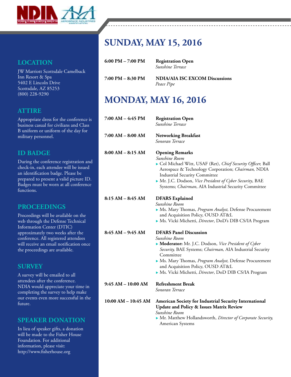

### **LOCATION**

JW Marriott Scottsdale Camelback Inn Resort & Spa 5402 E Lincoln Drive Scottsdale, AZ 85253 (800) 228-9290

### **ATTIRE**

Appropriate dress for the conference is business casual for civilians and Class B uniform or uniform of the day for military personnel.

### **ID BADGE**

During the conference registration and check-in, each attendee will be issued an identification badge. Please be prepared to present a valid picture ID. Badges must be worn at all conference functions.

#### **PROCEEDINGS**

Proceedings will be available on the web through the Defense Technical Information Center (DTIC) approximately two weeks after the conference. All registered attendees will receive an email notification once the proceedings are available.

### **SURVEY**

A survey will be emailed to all attendees after the conference. NDIA would appreciate your time in completing the survey to help make our events even more successful in the future.

### **SPEAKER DONATION**

In lieu of speaker gifts, a donation will be made to the Fisher House Foundation. For additional information, please visit: http://www.fisherhouse.org

### **SUNDAY, MAY 15, 2016**

| 6:00 PM – 7:00 PM | <b>Registration Open</b><br>Sunshine Terrace                                                                                                                                                                                                                                                                                       |
|-------------------|------------------------------------------------------------------------------------------------------------------------------------------------------------------------------------------------------------------------------------------------------------------------------------------------------------------------------------|
| 7:00 PM – 8:30 PM | <b>NDIA/AIA ISC EXCOM Discussions</b><br>Peace Pipe                                                                                                                                                                                                                                                                                |
|                   | $\mathbf{r}$ $\mathbf{r}$ $\mathbf{r}$ $\mathbf{r}$ $\mathbf{r}$ $\mathbf{r}$ $\mathbf{r}$ $\mathbf{r}$ $\mathbf{r}$ $\mathbf{r}$ $\mathbf{r}$ $\mathbf{r}$ $\mathbf{r}$ $\mathbf{r}$ $\mathbf{r}$ $\mathbf{r}$ $\mathbf{r}$ $\mathbf{r}$ $\mathbf{r}$ $\mathbf{r}$ $\mathbf{r}$ $\mathbf{r}$ $\mathbf{r}$ $\mathbf{r}$ $\mathbf{$ |

### **MONDAY, MAY 16, 2016**

| 7:00 AM – 4:45 PM   | <b>Registration Open</b><br>Sunshine Terrace                                                                                                                                                                                                                                                                                        |
|---------------------|-------------------------------------------------------------------------------------------------------------------------------------------------------------------------------------------------------------------------------------------------------------------------------------------------------------------------------------|
| 7:00 AM – 8:00 AM   | <b>Networking Breakfast</b><br>Sonoran Terrace                                                                                                                                                                                                                                                                                      |
| 8:00 AM – 8:15 AM   | <b>Opening Remarks</b><br>Sunshine Room<br>Col Michael Witt, USAF (Ret), Chief Security Officer, Ball<br>Aerospace & Technology Corporation; Chairman, NDIA<br><b>Industrial Security Committee</b><br>Mr. J.C. Dodson, Vice President of Cyber Security, BAE<br>Systems; Chairman, AIA Industrial Security Committee               |
| 8:15 AM – 8:45 AM   | <b>DFARS</b> Explained<br>Sunshine Room<br>Ms. Mary Thomas, Program Analyst, Defense Procurement<br>and Acquisition Policy, OUSD AT&L<br>Ms. Vicki Michetti, Director, DoD's DIB CS/IA Program                                                                                                                                      |
| 8:45 AM – 9:45 AM   | <b>DFARS Panel Discussion</b><br>Sunshine Room<br>Moderator: Mr. J.C. Dodson, Vice President of Cyber<br>Security, BAE Systems; Chairman, AIA Industrial Security<br>Committee<br>Ms. Mary Thomas, Program Analyst, Defense Procurement<br>and Acquisition Policy, OUSD AT&L<br>Ms. Vicki Michetti, Director, DoD DIB CS/IA Program |
| 9:45 AM – 10:00 AM  | <b>Refreshment Break</b><br>Sonoran Terrace                                                                                                                                                                                                                                                                                         |
| 10:00 AM - 10:45 AM | American Society for Industrial Security International<br><b>Update and Policy &amp; Issues Matrix Review</b><br>Sunshine Room<br>• Mr. Matthew Hollandsworth, Director of Corporate Security,<br>American Systems                                                                                                                  |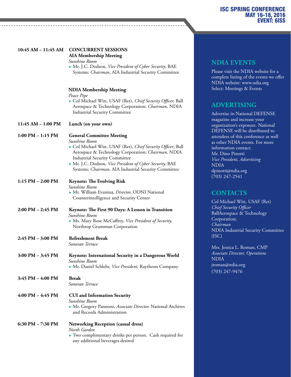| $10:45 AM - 11:45 AM$               | <b>CONCURRENT SESSIONS</b><br><b>AIA Membership Meeting</b><br>Sunshine Room                                                                                                                                                                                                                                                    |
|-------------------------------------|---------------------------------------------------------------------------------------------------------------------------------------------------------------------------------------------------------------------------------------------------------------------------------------------------------------------------------|
|                                     | Mr. J.C. Dodson, Vice President of Cyber Security, BAE<br>Systems; Chairman, AIA Industrial Security Committee                                                                                                                                                                                                                  |
|                                     | <b>NDIA Membership Meeting</b><br>Peace Pipe<br>Col Michael Witt, USAF (Ret), Chief Security Officer, Ball<br>Aerospace & Technology Corporation; Chairman, NDIA<br><b>Industrial Security Committee</b>                                                                                                                        |
| 11:45 AM - 1:00 PM                  | Lunch (on your own)                                                                                                                                                                                                                                                                                                             |
| $1:00$ PM $-1:15$ PM                | <b>General Committee Meeting</b><br>Sunshine Room<br>Col Michael Witt, USAF (Ret), Chief Security Officer, Ball<br>Aerospace & Technology Corporation; Chairman, NDIA<br><b>Industrial Security Committee</b><br>Mr. J.C. Dodson, Vice President of Cyber Security, BAE<br>Systems; Chairman, AIA Industrial Security Committee |
| $1:15$ PM $- 2:00$ PM               | <b>Keynote: The Evolving Risk</b><br>Sunshine Room<br>Mr. William Evanina, Director, ODNI National<br>Counterintelligence and Security Center                                                                                                                                                                                   |
| $2:00 \text{ PM} - 2:45 \text{ PM}$ | Keynote: The First 90 Days: A Lesson in Transition<br>Sunshine Room<br>• Ms. Mary Rose McCaffrey, Vice President of Security,<br>Northrop Grumman Corporation                                                                                                                                                                   |
| $2:45$ PM $-3:00$ PM                | <b>Refreshment Break</b><br>Sonoran Terrace                                                                                                                                                                                                                                                                                     |
| $3:00 \text{ PM} - 3:45 \text{ PM}$ | Keynote: International Security in a Dangerous World<br>Sunshine Room<br>Mr. Daniel Schlehr, Vice President, Raytheon Company                                                                                                                                                                                                   |
| $3:45$ PM $-4:00$ PM                | <b>Break</b><br>Sonoran Terrace                                                                                                                                                                                                                                                                                                 |
| $4:00$ PM $- 4:45$ PM               | <b>CUI</b> and Information Security<br>Sunshine Room<br>Mr. Gregory Pannoni, Associate Director, National Archives<br>and Records Administration                                                                                                                                                                                |
| 6:30 PM $- 7:30$ PM                 | <b>Networking Reception (casual dress)</b><br>North Garden<br>• Two complimentary drinks per person. Cash required for<br>any additional beverages desired                                                                                                                                                                      |

#### **NDIA EVENTS**

Please visit the NDIA website for a complete listing of the events we offer NDIA website: www.ndia.org Select: Meetings & Events

### **ADVERTISING**

Advertise in National DEFENSE magazine and increase your organization's exposure. National DEFENSE will be distributed to attendees of this conference as well as other NDIA events. For more information contact: Mr. Dino Pinotti *Vice President, Advertising* NDIA dpinotti@ndia.org (703) 247-2541

### **CONTACTS**

Col Michael Witt, USAF (Ret) *Chief Security Officer* BallAerospace & Technology Corporation; *Chairman* NDIA Industrial Security Committee (ISC)

Mrs. Jessica L. Roman, CMP *Associate Director, Operations* NDIA jroman@ndia.org (703) 247-9476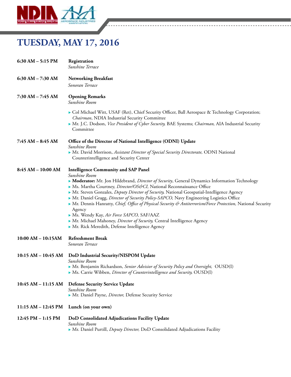

### **TUESDAY, MAY 17, 2016**

| $6:30$ AM $-5:15$ PM  | Registration<br>Sunshine Terrace                                                                                                                                                                                                                                                                                                                                                                                                                                                                                                                                                                                                                                                                                                   |
|-----------------------|------------------------------------------------------------------------------------------------------------------------------------------------------------------------------------------------------------------------------------------------------------------------------------------------------------------------------------------------------------------------------------------------------------------------------------------------------------------------------------------------------------------------------------------------------------------------------------------------------------------------------------------------------------------------------------------------------------------------------------|
| $6:30$ AM $- 7:30$ AM | <b>Networking Breakfast</b><br>Sonoran Terrace                                                                                                                                                                                                                                                                                                                                                                                                                                                                                                                                                                                                                                                                                     |
| $7:30$ AM $-7:45$ AM  | <b>Opening Remarks</b><br>Sunshine Room                                                                                                                                                                                                                                                                                                                                                                                                                                                                                                                                                                                                                                                                                            |
|                       | ► Col Michael Witt, USAF (Ret), Chief Security Officer, Ball Aerospace & Technology Corporation;<br>Chairman, NDIA Industrial Security Committee<br>Mr. J.C. Dodson, Vice President of Cyber Security, BAE Systems; Chairman, AIA Industrial Security<br>Committee                                                                                                                                                                                                                                                                                                                                                                                                                                                                 |
| $7:45 AM - 8:45 AM$   | Office of the Director of National Intelligence (ODNI) Update                                                                                                                                                                                                                                                                                                                                                                                                                                                                                                                                                                                                                                                                      |
|                       | Sunshine Room<br>• Mr. David Morrison, Assistant Director of Special Security Directorate, ODNI National<br>Counterintelligence and Security Center                                                                                                                                                                                                                                                                                                                                                                                                                                                                                                                                                                                |
| 8:45 AM - 10:00 AM    | <b>Intelligence Community and SAP Panel</b><br>Sunshine Room<br>Moderator: Mr. Jon Hildebrand, Director of Security, General Dynamics Information Technology<br>• Ms. Martha Courtney, Director/OS&CI, National Reconnaissance Office<br>• Mr. Steven Gonzales, Deputy Director of Security, National Geospatial-Intelligence Agency<br>• Mr. Daniel Gragg, Director of Security Policy-SAPCO, Navy Engineering Logistics Office<br>Mr. Dennis Hanratty, Chief, Office of Physical Security & Antiterrorism/Force Protection, National Security<br>Agency<br>Ms. Wendy Kay, Air Force SAPCO, SAF/AAZ<br>• Mr. Michael Mahoney, Director of Security, Central Intelligence Agency<br>Mr. Rick Meredith, Defense Intelligence Agency |
| $10:00 AM - 10:15AM$  | <b>Refreshment Break</b><br>Sonoran Terrace                                                                                                                                                                                                                                                                                                                                                                                                                                                                                                                                                                                                                                                                                        |
| $10:15 AM - 10:45 AM$ | DoD Industrial Security/NISPOM Update<br>Sunshine Room<br>• Mr. Benjamin Richardson, Senior Advisior of Security Policy and Oversight, OUSD(I)<br>• Ms. Carrie Wibben, Director of Counterintelligence and Security, OUSD(I)                                                                                                                                                                                                                                                                                                                                                                                                                                                                                                       |
| 10:45 AM - 11:15 AM   | <b>Defense Security Service Update</b><br>Sunshine Room<br>Mr. Daniel Payne, Director, Defense Security Service                                                                                                                                                                                                                                                                                                                                                                                                                                                                                                                                                                                                                    |
| 11:15 AM - 12:45 PM   | Lunch (on your own)                                                                                                                                                                                                                                                                                                                                                                                                                                                                                                                                                                                                                                                                                                                |
| 12:45 PM - 1:15 PM    | DoD Consolidated Adjudications Facility Update<br>Sunshine Room<br>• Mr. Daniel Purtill, Deputy Director, DoD Consolidated Adjudications Facility                                                                                                                                                                                                                                                                                                                                                                                                                                                                                                                                                                                  |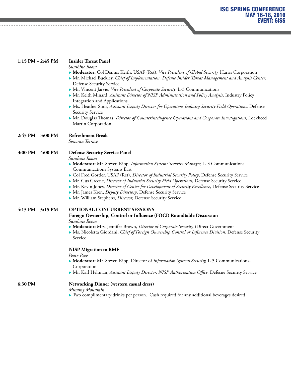| $1:15$ PM $- 2:45$ PM | <b>Insider Threat Panel</b><br>Sunshine Room<br>Moderator: Col Dennis Keith, USAF (Ret), Vice President of Global Security, Harris Corporation<br>Mr. Michael Buckley, Chief of Implementation, Defense Insider Threat Management and Analysis Center,<br><b>Defense Security Service</b><br>Mr. Vincent Jarvie, Vice President of Corporate Security, L-3 Communications<br>Mr. Keith Minard, Assistant Director of NISP Administration and Policy Analysis, Industry Policy<br><b>Integration and Applications</b><br>• Ms. Heather Sims, Assistant Deputy Director for Operations Industry Security Field Operations, Defense<br><b>Security Service</b><br>Mr. Douglas Thomas, Director of Counterintelligence Operations and Corporate Investigations, Lockheed |
|-----------------------|----------------------------------------------------------------------------------------------------------------------------------------------------------------------------------------------------------------------------------------------------------------------------------------------------------------------------------------------------------------------------------------------------------------------------------------------------------------------------------------------------------------------------------------------------------------------------------------------------------------------------------------------------------------------------------------------------------------------------------------------------------------------|
|                       | Martin Corporation                                                                                                                                                                                                                                                                                                                                                                                                                                                                                                                                                                                                                                                                                                                                                   |
| 2:45 PM - 3:00 PM     | <b>Refreshment Break</b><br>Sonoran Terrace                                                                                                                                                                                                                                                                                                                                                                                                                                                                                                                                                                                                                                                                                                                          |
| 3:00 PM - 4:00 PM     | <b>Defense Security Service Panel</b><br>Sunshine Room<br>• Moderator: Mr. Steven Kipp, <i>Information Systems Security Manager</i> , L-3 Communications-<br><b>Communications Systems East</b><br>Col Fred Gortler, USAF (Ret), Director of Industrial Security Policy, Defense Security Service<br>Mr. Gus Greene, Director of Industrial Security Field Operations, Defense Security Service<br>Mr. Kevin Jones, Director of Center for Development of Security Excellence, Defense Security Service<br>Mr. James Kren, Deputy Directory, Defense Security Service<br>Mr. William Stephens, Director, Defense Security Service                                                                                                                                    |
| $4:15$ PM $-5:15$ PM  | OPTIONAL CONCURRENT SESSIONS<br>Foreign Ownership, Control or Influence (FOCI) Roundtable Discussion<br>Sunshine Room<br>• Moderator: Mrs. Jennifer Brown, Director of Corporate Security, iDirect Government<br>• Ms. Nicoletta Giordani, Chief of Foreign Ownership Control or Influence Division, Defense Security<br>Service<br><b>NISP Migration to RMF</b><br>Peace Pipe<br>Moderator: Mr. Steven Kipp, Director of Information Systems Security, L-3 Communications-<br>Corporation                                                                                                                                                                                                                                                                           |
|                       | Mr. Karl Hellman, Assistant Deputy Director, NISP Authorization Office, Defesne Security Service                                                                                                                                                                                                                                                                                                                                                                                                                                                                                                                                                                                                                                                                     |
| 6:30 PM               | <b>Networking Dinner (western casual dress)</b>                                                                                                                                                                                                                                                                                                                                                                                                                                                                                                                                                                                                                                                                                                                      |

 $\frac{1}{2}$  .  $\frac{1}{2}$  .  $\frac{1}{2}$ 

*Mummy Mountain*

----------------------------

 $\blacktriangleright$  Two complimentary drinks per person. Cash required for any additional beverages desired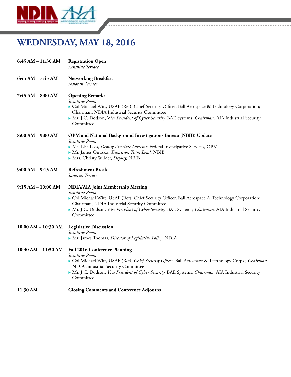

### **WEDNESDAY, MAY 18, 2016**

| 6:45 AM - 11:30 AM   | <b>Registration Open</b><br>Sunshine Terrace                                                                                                                                                                                                                                                                                  |
|----------------------|-------------------------------------------------------------------------------------------------------------------------------------------------------------------------------------------------------------------------------------------------------------------------------------------------------------------------------|
| $6:45 AM - 7:45 AM$  | <b>Networking Breakfast</b><br>Sonoran Terrace                                                                                                                                                                                                                                                                                |
| 7:45 AM - 8:00 AM    | <b>Opening Remarks</b><br>Sunshine Room<br>Col Michael Witt, USAF (Ret), Chief Security Officer, Ball Aerospace & Technology Corporation;<br>Chairman, NDIA Industrial Security Committee<br>Mr. J.C. Dodson, Vice President of Cyber Security, BAE Systems; Chairman, AIA Industrial Security<br>Committee                   |
| $8:00 AM - 9:00 AM$  | OPM and National Background Investigations Bureau (NBIB) Update<br>Sunshine Room<br>• Ms. Lisa Loss, Deputy Associate Director, Federal Investigative Services, OPM<br>Mr. James Onusko, Transition Team Lead, NBIB<br>Mrs. Christy Wilder, Deputy, NBIB                                                                      |
| $9:00 AM - 9:15 AM$  | <b>Refreshment Break</b><br>Sonoran Terrace                                                                                                                                                                                                                                                                                   |
| $9:15 AM - 10:00 AM$ | <b>NDIA/AIA Joint Membership Meeting</b><br>Sunshine Room<br>Col Michael Witt, USAF (Ret), Chief Security Officer, Ball Aerospace & Technology Corporation;<br>Chairman, NDIA Industrial Security Committee<br>Mr. J.C. Dodson, Vice President of Cyber Security, BAE Systems; Chairman, AIA Industrial Security<br>Committee |
| 10:00 AM - 10:30 AM  | <b>Legislative Discussion</b><br>Sunshine Room<br>• Mr. James Thomas, Director of Legislative Policy, NDIA                                                                                                                                                                                                                    |
| 10:30 AM - 11:30 AM  | Fall 2016 Conference Planning<br>Sunshine Room<br>Col Michael Witt, USAF (Ret), Chief Security Officer, Ball Aerospace & Technology Corps.; Chairman,<br>NDIA Industrial Security Committee<br>Mr. J.C. Dodson, Vice President of Cyber Security, BAE Systems; Chairman, AIA Industrial Security<br>Committee                 |
| 11:30 AM             | <b>Closing Comments and Conference Adjourns</b>                                                                                                                                                                                                                                                                               |